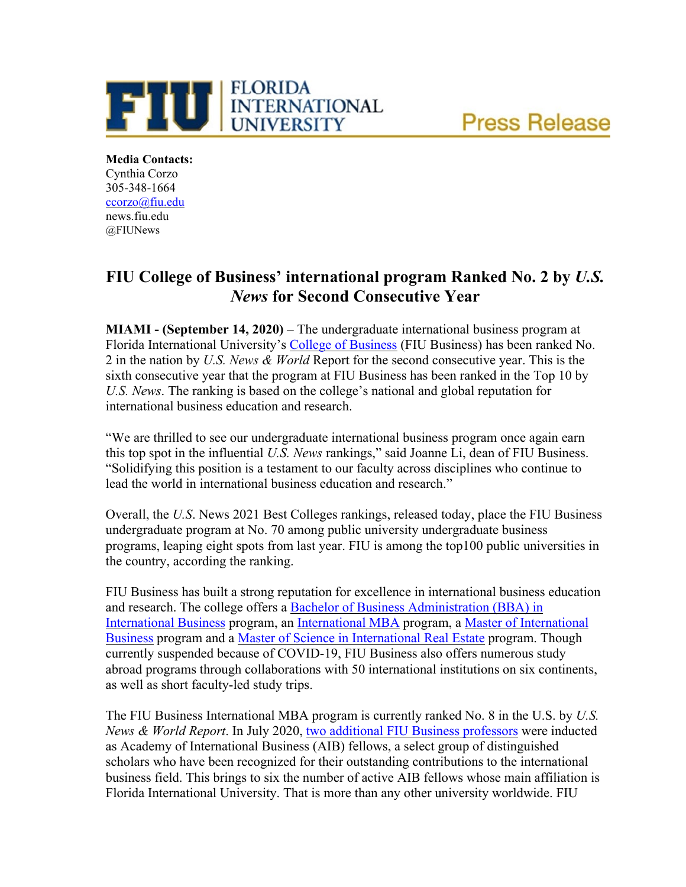



**Media Contacts:** Cynthia Corzo 305-348-1664 [ccorzo@fiu.edu](mailto:ccorzo@fiu.edu) news.fiu.edu @FIUNews

## **FIU College of Business' international program Ranked No. 2 by** *U.S. News* **for Second Consecutive Year**

**MIAMI - (September 14, 2020)** – The undergraduate international business program at Florida International University's [College of Business](https://business.fiu.edu/index.cfm) (FIU Business) has been ranked No. 2 in the nation by *U.S. News & World* Report for the second consecutive year. This is the sixth consecutive year that the program at FIU Business has been ranked in the Top 10 by *U.S. News*. The ranking is based on the college's national and global reputation for international business education and research.

"We are thrilled to see our undergraduate international business program once again earn this top spot in the influential *U.S. News* rankings," said Joanne Li, dean of FIU Business. "Solidifying this position is a testament to our faculty across disciplines who continue to lead the world in international business education and research."

Overall, the *U.S*. News 2021 Best Colleges rankings, released today, place the FIU Business undergraduate program at No. 70 among public university undergraduate business programs, leaping eight spots from last year. FIU is among the top100 public universities in the country, according the ranking.

FIU Business has built a strong reputation for excellence in international business education and research. The college offers a [Bachelor of Business Administration \(BBA\) in](https://business.fiu.edu/undergraduate/bba-international-business/index.cfm)  [International Business](https://business.fiu.edu/undergraduate/bba-international-business/index.cfm) program, an [International MBA](https://business.fiu.edu/graduate/international-mba/index.cfm) program, a [Master of International](https://business.fiu.edu/graduate/international-business/index.cfm)  [Business](https://business.fiu.edu/graduate/international-business/index.cfm) program and a [Master of Science in International Real Estate](https://business.fiu.edu/graduate/international-real-estate/index.cfm) program. Though currently suspended because of COVID-19, FIU Business also offers numerous study abroad programs through collaborations with 50 international institutions on six continents, as well as short faculty-led study trips.

The FIU Business International MBA program is currently ranked No. 8 in the U.S. by *U.S. News & World Report*. In July 2020, [two additional FIU Business professors](https://biznews.fiu.edu/2020/04/two-fiu-business-professors-elected-as-aib-fellows-select-group-of-distinguished-scholars/) were inducted as Academy of International Business (AIB) fellows, a select group of distinguished scholars who have been recognized for their outstanding contributions to the international business field. This brings to six the number of active AIB fellows whose main affiliation is Florida International University. That is more than any other university worldwide. FIU